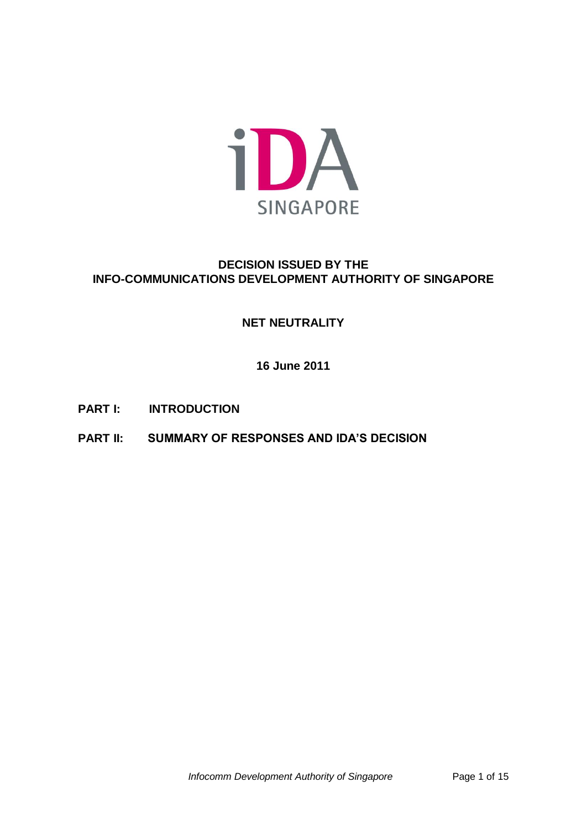

## **DECISION ISSUED BY THE INFO-COMMUNICATIONS DEVELOPMENT AUTHORITY OF SINGAPORE**

# **NET NEUTRALITY**

**16 June 2011**

- **PART I: INTRODUCTION**
- **PART II: SUMMARY OF RESPONSES AND IDA'S DECISION**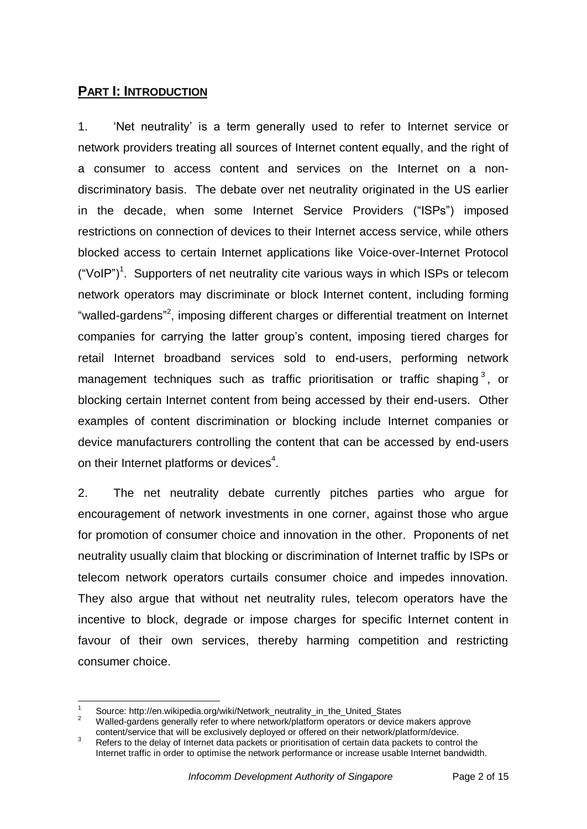### **PART I: INTRODUCTION**

1. "Net neutrality" is a term generally used to refer to Internet service or network providers treating all sources of Internet content equally, and the right of a consumer to access content and services on the Internet on a nondiscriminatory basis. The debate over net neutrality originated in the US earlier in the decade, when some Internet Service Providers ("ISPs") imposed restrictions on connection of devices to their Internet access service, while others blocked access to certain Internet applications like Voice-over-Internet Protocol ("VoIP")<sup>1</sup>. Supporters of net neutrality cite various ways in which ISPs or telecom network operators may discriminate or block Internet content, including forming "walled-gardens"<sup>2</sup>, imposing different charges or differential treatment on Internet companies for carrying the latter group"s content, imposing tiered charges for retail Internet broadband services sold to end-users, performing network management techniques such as traffic prioritisation or traffic shaping<sup>3</sup>, or blocking certain Internet content from being accessed by their end-users. Other examples of content discrimination or blocking include Internet companies or device manufacturers controlling the content that can be accessed by end-users on their Internet platforms or devices<sup>4</sup>.

2. The net neutrality debate currently pitches parties who argue for encouragement of network investments in one corner, against those who argue for promotion of consumer choice and innovation in the other. Proponents of net neutrality usually claim that blocking or discrimination of Internet traffic by ISPs or telecom network operators curtails consumer choice and impedes innovation. They also argue that without net neutrality rules, telecom operators have the incentive to block, degrade or impose charges for specific Internet content in favour of their own services, thereby harming competition and restricting consumer choice.

<sup>1</sup> Source: http://en.wikipedia.org/wiki/Network\_neutrality\_in\_the\_United\_States

<sup>2</sup> Walled-gardens generally refer to where network/platform operators or device makers approve content/service that will be exclusively deployed or offered on their network/platform/device.

<sup>&</sup>lt;sup>3</sup> Refers to the delay of Internet data packets or prioritisation of certain data packets to control the Internet traffic in order to optimise the network performance or increase usable Internet bandwidth.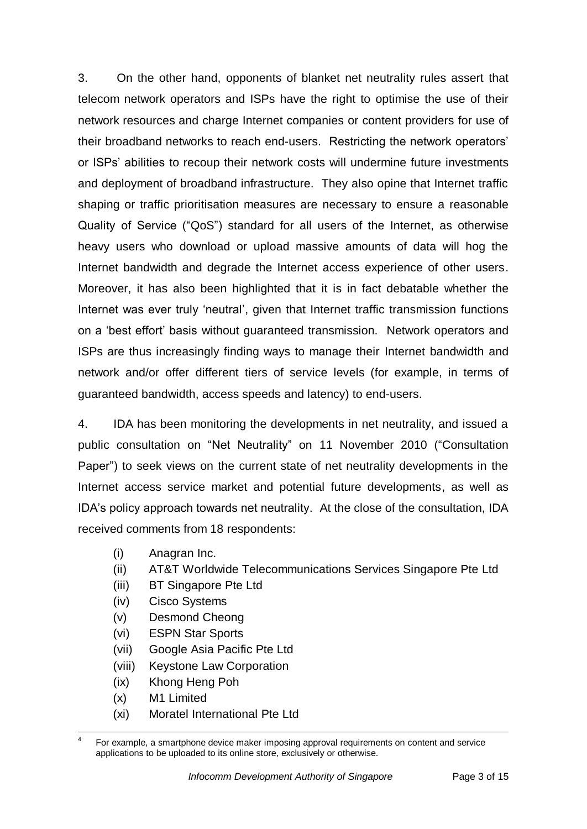3. On the other hand, opponents of blanket net neutrality rules assert that telecom network operators and ISPs have the right to optimise the use of their network resources and charge Internet companies or content providers for use of their broadband networks to reach end-users. Restricting the network operators" or ISPs" abilities to recoup their network costs will undermine future investments and deployment of broadband infrastructure. They also opine that Internet traffic shaping or traffic prioritisation measures are necessary to ensure a reasonable Quality of Service ("QoS") standard for all users of the Internet, as otherwise heavy users who download or upload massive amounts of data will hog the Internet bandwidth and degrade the Internet access experience of other users. Moreover, it has also been highlighted that it is in fact debatable whether the Internet was ever truly "neutral", given that Internet traffic transmission functions on a "best effort" basis without guaranteed transmission. Network operators and ISPs are thus increasingly finding ways to manage their Internet bandwidth and network and/or offer different tiers of service levels (for example, in terms of guaranteed bandwidth, access speeds and latency) to end-users.

4. IDA has been monitoring the developments in net neutrality, and issued a public consultation on "Net Neutrality" on 11 November 2010 ("Consultation Paper") to seek views on the current state of net neutrality developments in the Internet access service market and potential future developments, as well as IDA"s policy approach towards net neutrality. At the close of the consultation, IDA received comments from 18 respondents:

- (i) Anagran Inc.
- (ii) AT&T Worldwide Telecommunications Services Singapore Pte Ltd
- (iii) BT Singapore Pte Ltd
- (iv) Cisco Systems
- (v) Desmond Cheong
- (vi) ESPN Star Sports
- (vii) Google Asia Pacific Pte Ltd
- (viii) Keystone Law Corporation
- (ix) Khong Heng Poh
- (x) M1 Limited
- (xi) Moratel International Pte Ltd

 $\overline{a}$ 4 For example, a smartphone device maker imposing approval requirements on content and service applications to be uploaded to its online store, exclusively or otherwise.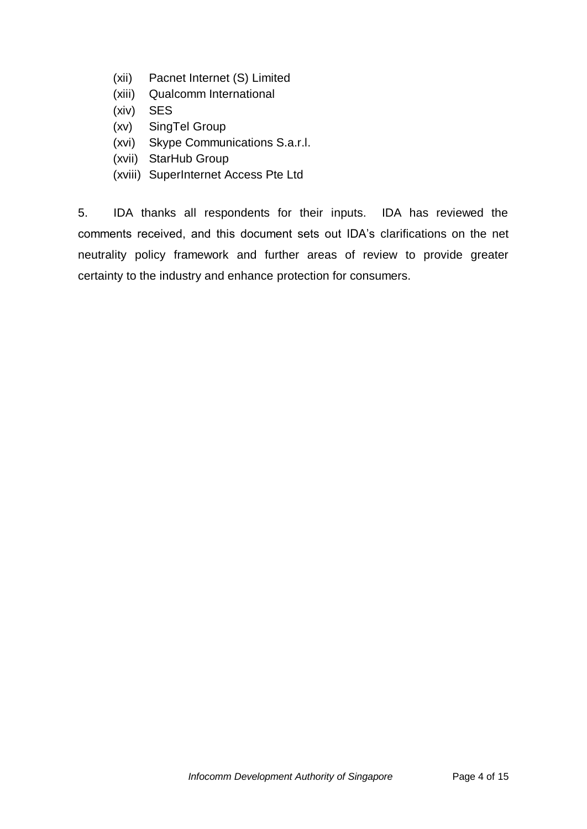- (xii) Pacnet Internet (S) Limited
- (xiii) Qualcomm International
- (xiv) SES
- (xv) SingTel Group
- (xvi) Skype Communications S.a.r.l.
- (xvii) StarHub Group
- (xviii) SuperInternet Access Pte Ltd

5. IDA thanks all respondents for their inputs. IDA has reviewed the comments received, and this document sets out IDA"s clarifications on the net neutrality policy framework and further areas of review to provide greater certainty to the industry and enhance protection for consumers.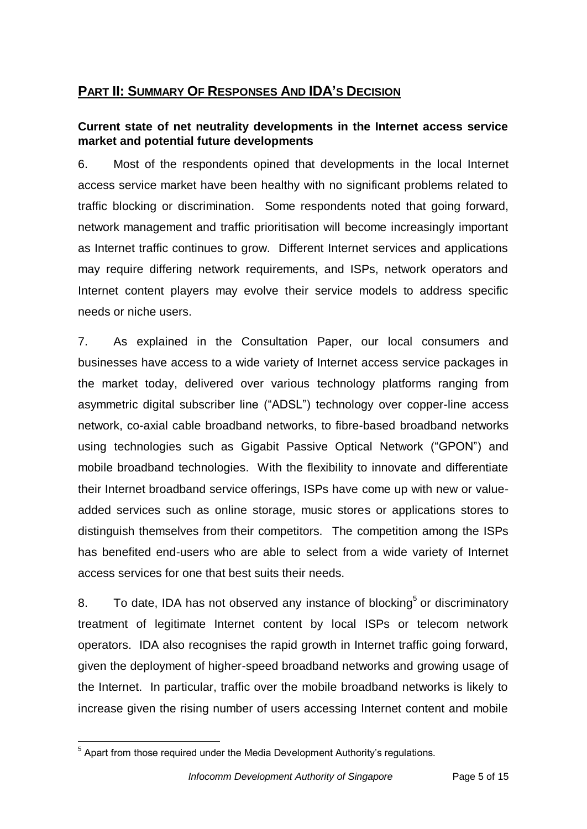# **PART II: SUMMARY OF RESPONSES AND IDA'S DECISION**

### **Current state of net neutrality developments in the Internet access service market and potential future developments**

6. Most of the respondents opined that developments in the local Internet access service market have been healthy with no significant problems related to traffic blocking or discrimination. Some respondents noted that going forward, network management and traffic prioritisation will become increasingly important as Internet traffic continues to grow. Different Internet services and applications may require differing network requirements, and ISPs, network operators and Internet content players may evolve their service models to address specific needs or niche users.

7. As explained in the Consultation Paper, our local consumers and businesses have access to a wide variety of Internet access service packages in the market today, delivered over various technology platforms ranging from asymmetric digital subscriber line ("ADSL") technology over copper-line access network, co-axial cable broadband networks, to fibre-based broadband networks using technologies such as Gigabit Passive Optical Network ("GPON") and mobile broadband technologies. With the flexibility to innovate and differentiate their Internet broadband service offerings, ISPs have come up with new or valueadded services such as online storage, music stores or applications stores to distinguish themselves from their competitors. The competition among the ISPs has benefited end-users who are able to select from a wide variety of Internet access services for one that best suits their needs.

8. To date, IDA has not observed any instance of blocking $5$  or discriminatory treatment of legitimate Internet content by local ISPs or telecom network operators. IDA also recognises the rapid growth in Internet traffic going forward, given the deployment of higher-speed broadband networks and growing usage of the Internet. In particular, traffic over the mobile broadband networks is likely to increase given the rising number of users accessing Internet content and mobile

 $\overline{a}$  $5$  Apart from those required under the Media Development Authority's regulations.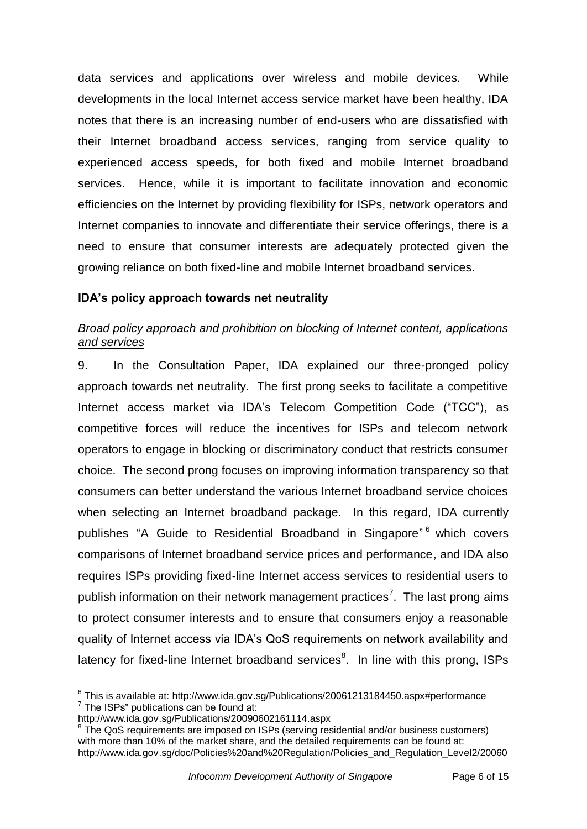data services and applications over wireless and mobile devices. While developments in the local Internet access service market have been healthy, IDA notes that there is an increasing number of end-users who are dissatisfied with their Internet broadband access services, ranging from service quality to experienced access speeds, for both fixed and mobile Internet broadband services. Hence, while it is important to facilitate innovation and economic efficiencies on the Internet by providing flexibility for ISPs, network operators and Internet companies to innovate and differentiate their service offerings, there is a need to ensure that consumer interests are adequately protected given the growing reliance on both fixed-line and mobile Internet broadband services.

### **IDA's policy approach towards net neutrality**

## *Broad policy approach and prohibition on blocking of Internet content, applications and services*

9. In the Consultation Paper, IDA explained our three-pronged policy approach towards net neutrality. The first prong seeks to facilitate a competitive Internet access market via IDA"s Telecom Competition Code ("TCC"), as competitive forces will reduce the incentives for ISPs and telecom network operators to engage in blocking or discriminatory conduct that restricts consumer choice. The second prong focuses on improving information transparency so that consumers can better understand the various Internet broadband service choices when selecting an Internet broadband package. In this regard, IDA currently publishes "A Guide to Residential Broadband in Singapore" <sup>6</sup> which covers comparisons of Internet broadband service prices and performance, and IDA also requires ISPs providing fixed-line Internet access services to residential users to publish information on their network management practices<sup>7</sup>. The last prong aims to protect consumer interests and to ensure that consumers enjoy a reasonable quality of Internet access via IDA"s QoS requirements on network availability and latency for fixed-line Internet broadband services<sup>8</sup>. In line with this prong, ISPs

 $\overline{a}$  $^6$  This is available at: http://www.ida.gov.sg/Publications/20061213184450.aspx#performance  $7$  The ISPs" publications can be found at:

http://www.ida.gov.sg/Publications/20090602161114.aspx

<sup>&</sup>lt;sup>8</sup> The QoS requirements are imposed on ISPs (serving residential and/or business customers) with more than 10% of the market share, and the detailed requirements can be found at: http://www.ida.gov.sg/doc/Policies%20and%20Regulation/Policies\_and\_Regulation\_Level2/20060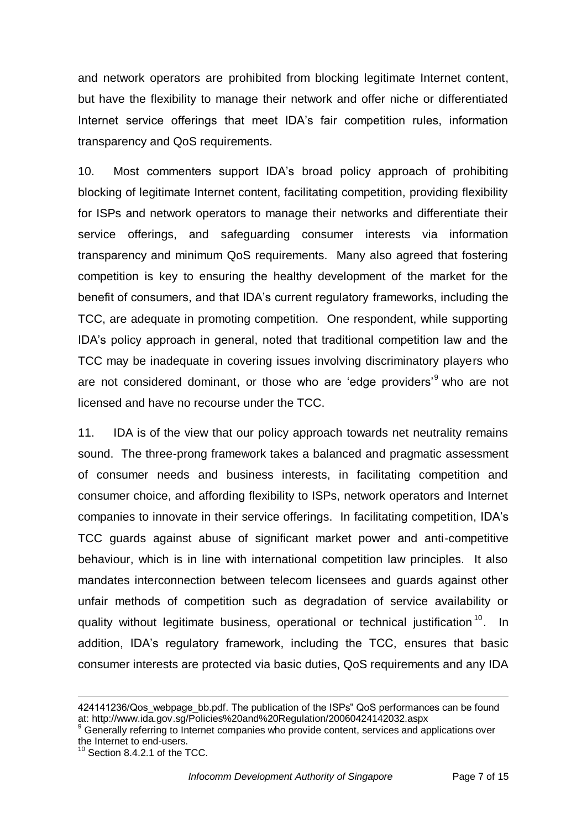and network operators are prohibited from blocking legitimate Internet content, but have the flexibility to manage their network and offer niche or differentiated Internet service offerings that meet IDA"s fair competition rules, information transparency and QoS requirements.

10. Most commenters support IDA"s broad policy approach of prohibiting blocking of legitimate Internet content, facilitating competition, providing flexibility for ISPs and network operators to manage their networks and differentiate their service offerings, and safeguarding consumer interests via information transparency and minimum QoS requirements. Many also agreed that fostering competition is key to ensuring the healthy development of the market for the benefit of consumers, and that IDA"s current regulatory frameworks, including the TCC, are adequate in promoting competition. One respondent, while supporting IDA"s policy approach in general, noted that traditional competition law and the TCC may be inadequate in covering issues involving discriminatory players who are not considered dominant, or those who are 'edge providers'<sup>9</sup> who are not licensed and have no recourse under the TCC.

11. IDA is of the view that our policy approach towards net neutrality remains sound. The three-prong framework takes a balanced and pragmatic assessment of consumer needs and business interests, in facilitating competition and consumer choice, and affording flexibility to ISPs, network operators and Internet companies to innovate in their service offerings. In facilitating competition, IDA"s TCC guards against abuse of significant market power and anti-competitive behaviour, which is in line with international competition law principles. It also mandates interconnection between telecom licensees and guards against other unfair methods of competition such as degradation of service availability or quality without legitimate business, operational or technical justification<sup>10</sup>. In addition, IDA"s regulatory framework, including the TCC, ensures that basic consumer interests are protected via basic duties, QoS requirements and any IDA

<sup>424141236/</sup>Qos\_webpage\_bb.pdf. The publication of the ISPs" QoS performances can be found at: http://www.ida.gov.sg/Policies%20and%20Regulation/20060424142032.aspx

<sup>&</sup>lt;sup>9</sup> Generally referring to Internet companies who provide content, services and applications over the Internet to end-users.

 $10$  Section 8.4.2.1 of the TCC.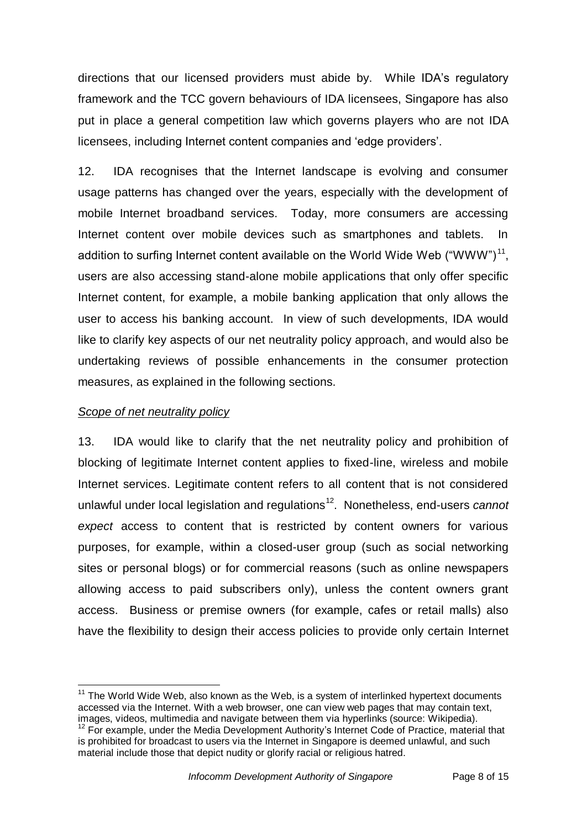directions that our licensed providers must abide by. While IDA"s regulatory framework and the TCC govern behaviours of IDA licensees, Singapore has also put in place a general competition law which governs players who are not IDA licensees, including Internet content companies and "edge providers".

12. IDA recognises that the Internet landscape is evolving and consumer usage patterns has changed over the years, especially with the development of mobile Internet broadband services. Today, more consumers are accessing Internet content over mobile devices such as smartphones and tablets. In addition to surfing Internet content available on the World Wide Web ("WWW")<sup>11</sup>, users are also accessing stand-alone mobile applications that only offer specific Internet content, for example, a mobile banking application that only allows the user to access his banking account. In view of such developments, IDA would like to clarify key aspects of our net neutrality policy approach, and would also be undertaking reviews of possible enhancements in the consumer protection measures, as explained in the following sections.

### *Scope of net neutrality policy*

13. IDA would like to clarify that the net neutrality policy and prohibition of blocking of legitimate Internet content applies to fixed-line, wireless and mobile Internet services. Legitimate content refers to all content that is not considered unlawful under local legislation and regulations<sup>12</sup>. Nonetheless, end-users *cannot expect* access to content that is restricted by content owners for various purposes, for example, within a closed-user group (such as social networking sites or personal blogs) or for commercial reasons (such as online newspapers allowing access to paid subscribers only), unless the content owners grant access. Business or premise owners (for example, cafes or retail malls) also have the flexibility to design their access policies to provide only certain Internet

 $\overline{a}$  $11$  The World Wide Web, also known as the Web, is a [system](http://en.wikipedia.org/wiki/Information_system) of interlinked [hypertext](http://en.wikipedia.org/wiki/Hypertext) documents accessed via the [Internet.](http://en.wikipedia.org/wiki/Internet) With a [web browser,](http://en.wikipedia.org/wiki/Web_browser) one can view [web pages](http://en.wikipedia.org/wiki/Web_page) that may contain text, images, videos, [multimedia](http://en.wikipedia.org/wiki/Multimedia) and navigate between them via [hyperlinks](http://en.wikipedia.org/wiki/Hyperlink) (source: Wikipedia).

<sup>&</sup>lt;sup>12</sup> For example, under the Media Development Authority's Internet Code of Practice, material that is prohibited for broadcast to users via the Internet in Singapore is deemed unlawful, and such material include those that depict nudity or glorify racial or religious hatred.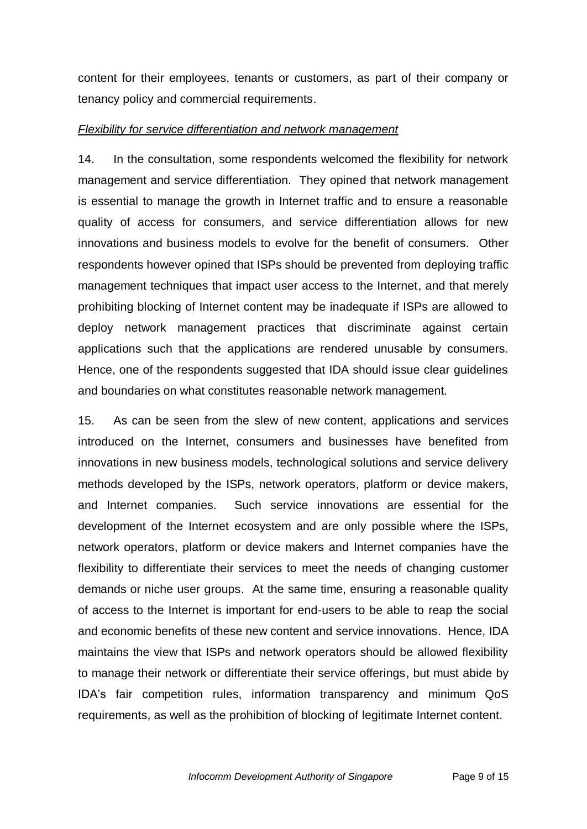content for their employees, tenants or customers, as part of their company or tenancy policy and commercial requirements.

### *Flexibility for service differentiation and network management*

14. In the consultation, some respondents welcomed the flexibility for network management and service differentiation. They opined that network management is essential to manage the growth in Internet traffic and to ensure a reasonable quality of access for consumers, and service differentiation allows for new innovations and business models to evolve for the benefit of consumers. Other respondents however opined that ISPs should be prevented from deploying traffic management techniques that impact user access to the Internet, and that merely prohibiting blocking of Internet content may be inadequate if ISPs are allowed to deploy network management practices that discriminate against certain applications such that the applications are rendered unusable by consumers. Hence, one of the respondents suggested that IDA should issue clear guidelines and boundaries on what constitutes reasonable network management.

15. As can be seen from the slew of new content, applications and services introduced on the Internet, consumers and businesses have benefited from innovations in new business models, technological solutions and service delivery methods developed by the ISPs, network operators, platform or device makers, and Internet companies. Such service innovations are essential for the development of the Internet ecosystem and are only possible where the ISPs, network operators, platform or device makers and Internet companies have the flexibility to differentiate their services to meet the needs of changing customer demands or niche user groups. At the same time, ensuring a reasonable quality of access to the Internet is important for end-users to be able to reap the social and economic benefits of these new content and service innovations. Hence, IDA maintains the view that ISPs and network operators should be allowed flexibility to manage their network or differentiate their service offerings, but must abide by IDA"s fair competition rules, information transparency and minimum QoS requirements, as well as the prohibition of blocking of legitimate Internet content.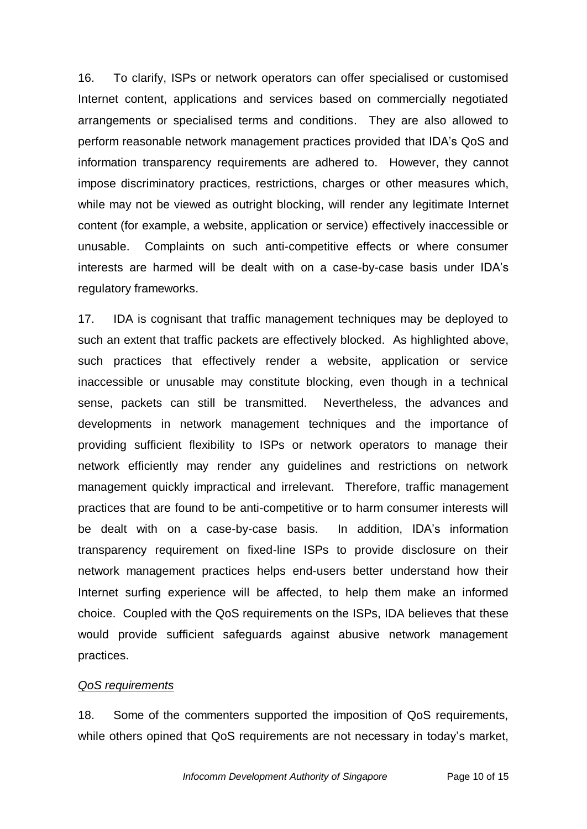16. To clarify, ISPs or network operators can offer specialised or customised Internet content, applications and services based on commercially negotiated arrangements or specialised terms and conditions. They are also allowed to perform reasonable network management practices provided that IDA"s QoS and information transparency requirements are adhered to. However, they cannot impose discriminatory practices, restrictions, charges or other measures which, while may not be viewed as outright blocking, will render any legitimate Internet content (for example, a website, application or service) effectively inaccessible or unusable. Complaints on such anti-competitive effects or where consumer interests are harmed will be dealt with on a case-by-case basis under IDA"s regulatory frameworks.

17. IDA is cognisant that traffic management techniques may be deployed to such an extent that traffic packets are effectively blocked. As highlighted above, such practices that effectively render a website, application or service inaccessible or unusable may constitute blocking, even though in a technical sense, packets can still be transmitted. Nevertheless, the advances and developments in network management techniques and the importance of providing sufficient flexibility to ISPs or network operators to manage their network efficiently may render any guidelines and restrictions on network management quickly impractical and irrelevant. Therefore, traffic management practices that are found to be anti-competitive or to harm consumer interests will be dealt with on a case-by-case basis. In addition, IDA"s information transparency requirement on fixed-line ISPs to provide disclosure on their network management practices helps end-users better understand how their Internet surfing experience will be affected, to help them make an informed choice. Coupled with the QoS requirements on the ISPs, IDA believes that these would provide sufficient safeguards against abusive network management practices.

### *QoS requirements*

18. Some of the commenters supported the imposition of QoS requirements, while others opined that QoS requirements are not necessary in today's market,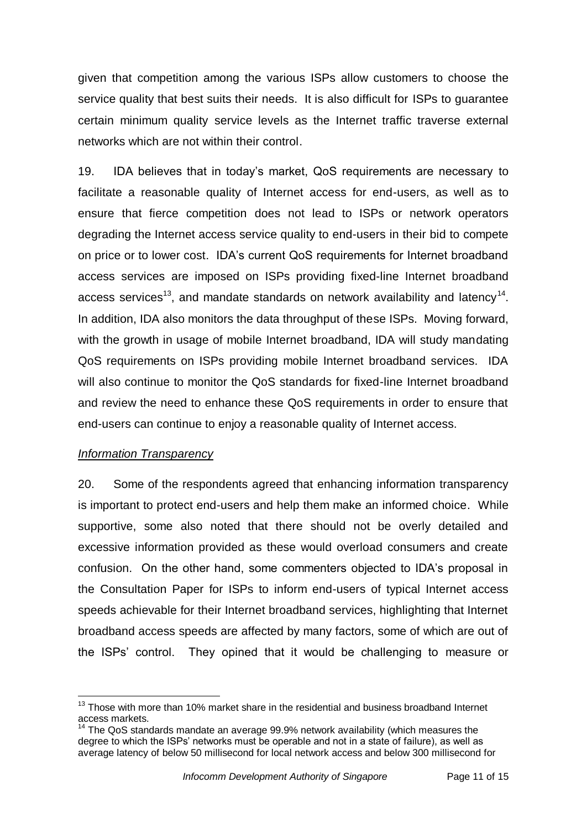given that competition among the various ISPs allow customers to choose the service quality that best suits their needs. It is also difficult for ISPs to guarantee certain minimum quality service levels as the Internet traffic traverse external networks which are not within their control.

19. IDA believes that in today"s market, QoS requirements are necessary to facilitate a reasonable quality of Internet access for end-users, as well as to ensure that fierce competition does not lead to ISPs or network operators degrading the Internet access service quality to end-users in their bid to compete on price or to lower cost. IDA"s current QoS requirements for Internet broadband access services are imposed on ISPs providing fixed-line Internet broadband access services<sup>13</sup>, and mandate standards on network availability and latency<sup>14</sup>. In addition, IDA also monitors the data throughput of these ISPs. Moving forward, with the growth in usage of mobile Internet broadband, IDA will study mandating QoS requirements on ISPs providing mobile Internet broadband services. IDA will also continue to monitor the QoS standards for fixed-line Internet broadband and review the need to enhance these QoS requirements in order to ensure that end-users can continue to enjoy a reasonable quality of Internet access.

### *Information Transparency*

 $\overline{a}$ 

20. Some of the respondents agreed that enhancing information transparency is important to protect end-users and help them make an informed choice. While supportive, some also noted that there should not be overly detailed and excessive information provided as these would overload consumers and create confusion. On the other hand, some commenters objected to IDA"s proposal in the Consultation Paper for ISPs to inform end-users of typical Internet access speeds achievable for their Internet broadband services, highlighting that Internet broadband access speeds are affected by many factors, some of which are out of the ISPs" control. They opined that it would be challenging to measure or

 $13$  Those with more than 10% market share in the residential and business broadband Internet access markets.

 $14$  The QoS standards mandate an average 99.9% network availability (which measures the degree to which the ISPs" networks must be operable and not in a state of failure), as well as average latency of below 50 millisecond for local network access and below 300 millisecond for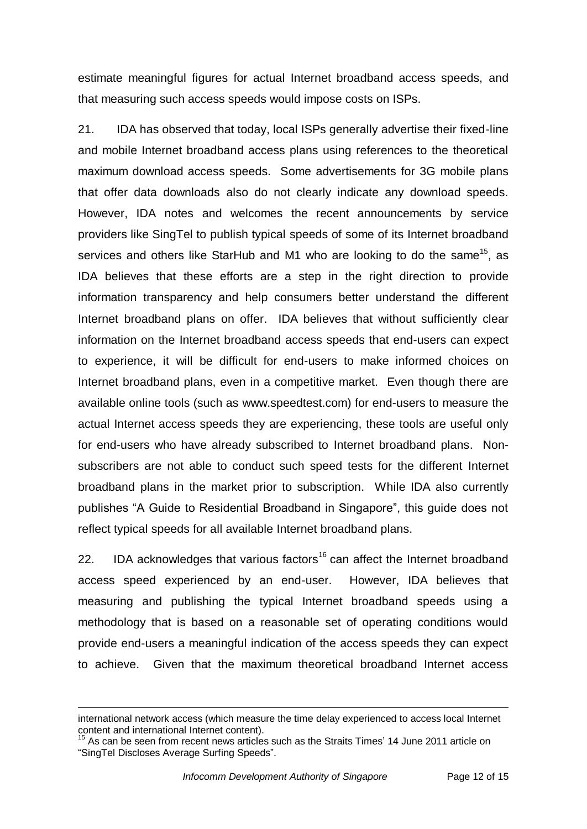estimate meaningful figures for actual Internet broadband access speeds, and that measuring such access speeds would impose costs on ISPs.

21. IDA has observed that today, local ISPs generally advertise their fixed-line and mobile Internet broadband access plans using references to the theoretical maximum download access speeds. Some advertisements for 3G mobile plans that offer data downloads also do not clearly indicate any download speeds. However, IDA notes and welcomes the recent announcements by service providers like SingTel to publish typical speeds of some of its Internet broadband services and others like StarHub and M1 who are looking to do the same<sup>15</sup>, as IDA believes that these efforts are a step in the right direction to provide information transparency and help consumers better understand the different Internet broadband plans on offer. IDA believes that without sufficiently clear information on the Internet broadband access speeds that end-users can expect to experience, it will be difficult for end-users to make informed choices on Internet broadband plans, even in a competitive market. Even though there are available online tools (such as www.speedtest.com) for end-users to measure the actual Internet access speeds they are experiencing, these tools are useful only for end-users who have already subscribed to Internet broadband plans. Nonsubscribers are not able to conduct such speed tests for the different Internet broadband plans in the market prior to subscription. While IDA also currently publishes "A Guide to Residential Broadband in Singapore", this guide does not reflect typical speeds for all available Internet broadband plans.

22. IDA acknowledges that various factors<sup>16</sup> can affect the Internet broadband access speed experienced by an end-user. However, IDA believes that measuring and publishing the typical Internet broadband speeds using a methodology that is based on a reasonable set of operating conditions would provide end-users a meaningful indication of the access speeds they can expect to achieve. Given that the maximum theoretical broadband Internet access

international network access (which measure the time delay experienced to access local Internet content and international Internet content).

As can be seen from recent news articles such as the Straits Times' 14 June 2011 article on "SingTel Discloses Average Surfing Speeds".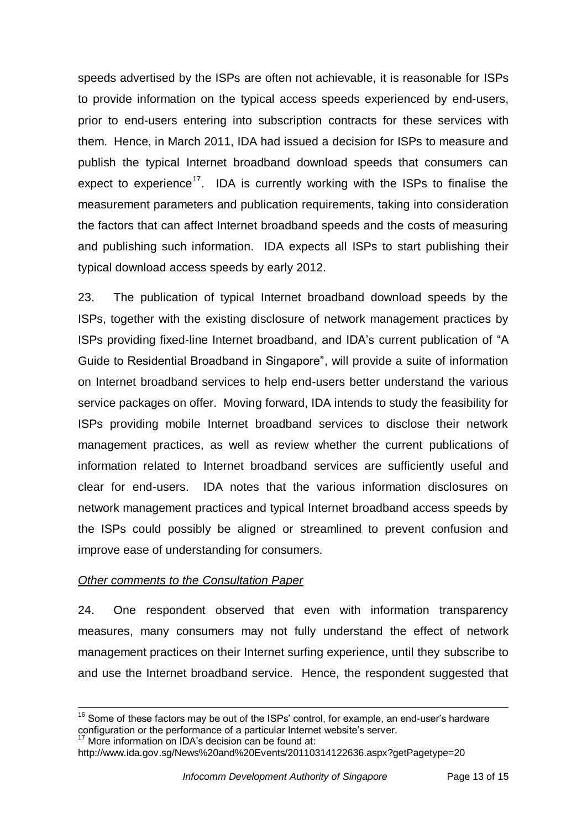speeds advertised by the ISPs are often not achievable, it is reasonable for ISPs to provide information on the typical access speeds experienced by end-users, prior to end-users entering into subscription contracts for these services with them. Hence, in March 2011, IDA had issued a decision for ISPs to measure and publish the typical Internet broadband download speeds that consumers can expect to experience<sup>17</sup>. IDA is currently working with the ISPs to finalise the measurement parameters and publication requirements, taking into consideration the factors that can affect Internet broadband speeds and the costs of measuring and publishing such information. IDA expects all ISPs to start publishing their typical download access speeds by early 2012.

23. The publication of typical Internet broadband download speeds by the ISPs, together with the existing disclosure of network management practices by ISPs providing fixed-line Internet broadband, and IDA"s current publication of "A Guide to Residential Broadband in Singapore", will provide a suite of information on Internet broadband services to help end-users better understand the various service packages on offer. Moving forward, IDA intends to study the feasibility for ISPs providing mobile Internet broadband services to disclose their network management practices, as well as review whether the current publications of information related to Internet broadband services are sufficiently useful and clear for end-users. IDA notes that the various information disclosures on network management practices and typical Internet broadband access speeds by the ISPs could possibly be aligned or streamlined to prevent confusion and improve ease of understanding for consumers.

### *Other comments to the Consultation Paper*

24. One respondent observed that even with information transparency measures, many consumers may not fully understand the effect of network management practices on their Internet surfing experience, until they subscribe to and use the Internet broadband service. Hence, the respondent suggested that

```
More information on IDA's decision can be found at:
```
 $16$  Some of these factors may be out of the ISPs' control, for example, an end-user's hardware configuration or the performance of a particular Internet website's server.

http://www.ida.gov.sg/News%20and%20Events/20110314122636.aspx?getPagetype=20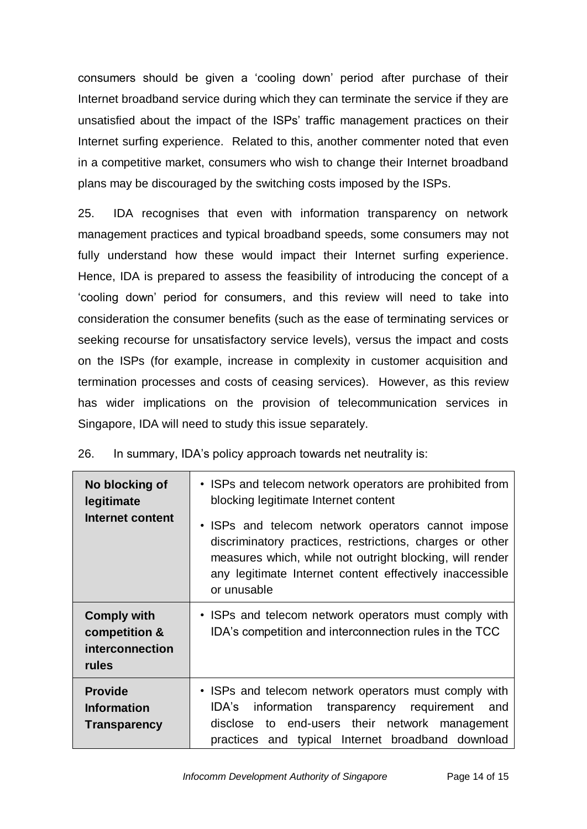consumers should be given a "cooling down" period after purchase of their Internet broadband service during which they can terminate the service if they are unsatisfied about the impact of the ISPs" traffic management practices on their Internet surfing experience. Related to this, another commenter noted that even in a competitive market, consumers who wish to change their Internet broadband plans may be discouraged by the switching costs imposed by the ISPs.

25. IDA recognises that even with information transparency on network management practices and typical broadband speeds, some consumers may not fully understand how these would impact their Internet surfing experience. Hence, IDA is prepared to assess the feasibility of introducing the concept of a "cooling down" period for consumers, and this review will need to take into consideration the consumer benefits (such as the ease of terminating services or seeking recourse for unsatisfactory service levels), versus the impact and costs on the ISPs (for example, increase in complexity in customer acquisition and termination processes and costs of ceasing services). However, as this review has wider implications on the provision of telecommunication services in Singapore, IDA will need to study this issue separately.

26. In summary, IDA"s policy approach towards net neutrality is:

| No blocking of<br>legitimate<br>Internet content                | • ISPs and telecom network operators are prohibited from<br>blocking legitimate Internet content<br>• ISPs and telecom network operators cannot impose<br>discriminatory practices, restrictions, charges or other<br>measures which, while not outright blocking, will render<br>any legitimate Internet content effectively inaccessible<br>or unusable |
|-----------------------------------------------------------------|-----------------------------------------------------------------------------------------------------------------------------------------------------------------------------------------------------------------------------------------------------------------------------------------------------------------------------------------------------------|
| <b>Comply with</b><br>competition &<br>interconnection<br>rules | • ISPs and telecom network operators must comply with<br>IDA's competition and interconnection rules in the TCC                                                                                                                                                                                                                                           |
| <b>Provide</b><br><b>Information</b><br><b>Transparency</b>     | • ISPs and telecom network operators must comply with<br>IDA's<br>information<br>transparency requirement<br>and<br>disclose to end-users their network management<br>practices and typical Internet broadband download                                                                                                                                   |